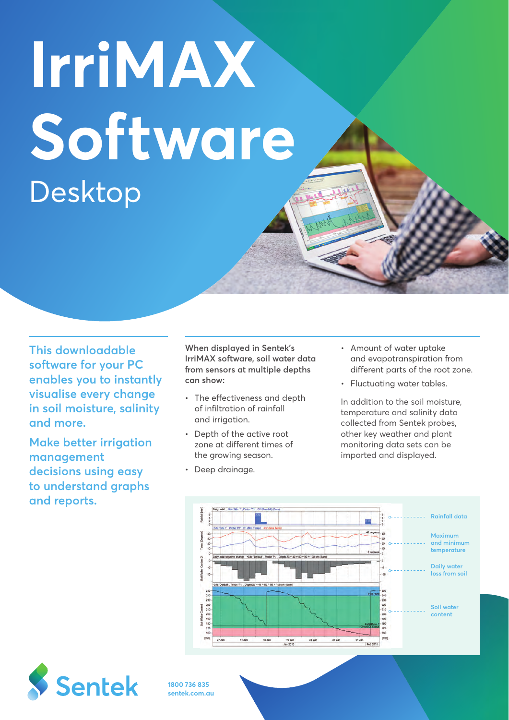# **IrriMAX Software** Desktop

**This downloadable software for your PC enables you to instantly visualise every change in soil moisture, salinity and more.** 

**Make better irrigation management decisions using easy to understand graphs and reports.** 

**When displayed in Sentek's IrriMAX software, soil water data from sensors at multiple depths can show:**

- The effectiveness and depth of infiltration of rainfall and irrigation.
- Depth of the active root zone at different times of the growing season.
- Deep drainage.
- Amount of water uptake and evapotranspiration from different parts of the root zone.
- Fluctuating water tables.

In addition to the soil moisture, temperature and salinity data collected from Sentek probes, other key weather and plant monitoring data sets can be imported and displayed.





**1800 736 835 sentek.com.au**